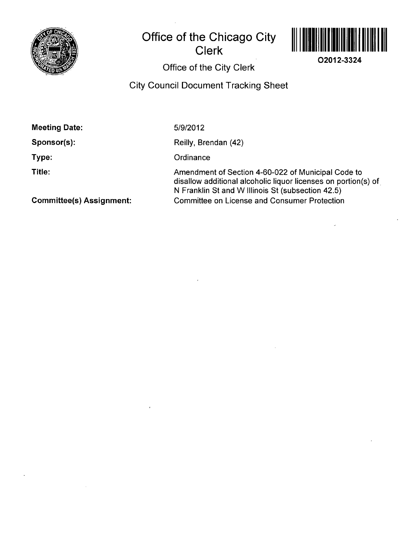

# **Office of the Chicago City Clerk**



**O2012-3324** 

**Office of the City Clerk** 

## **City Council Document Tracking Sheet**

| <b>Meeting Date:</b>            | 5/9/2012                                                                                                                                                                  |
|---------------------------------|---------------------------------------------------------------------------------------------------------------------------------------------------------------------------|
| Sponsor(s):                     | Reilly, Brendan (42)                                                                                                                                                      |
| Type:                           | Ordinance                                                                                                                                                                 |
| Title:                          | Amendment of Section 4-60-022 of Municipal Code to<br>disallow additional alcoholic liquor licenses on portion(s) of<br>N Franklin St and W Illinois St (subsection 42.5) |
| <b>Committee(s) Assignment:</b> | <b>Committee on License and Consumer Protection</b>                                                                                                                       |